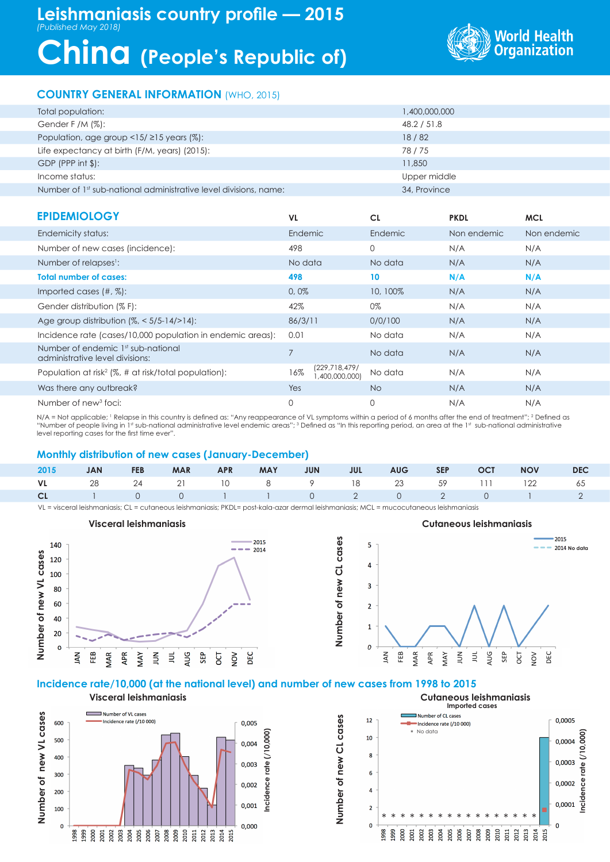# **China (People's Republic of)**



# **COUNTRY GENERAL INFORMATION** (WHO, 2015)

| Total population:                                                | 1,400,000,000 |
|------------------------------------------------------------------|---------------|
| Gender F /M $(\%)$ :                                             | 48.2 / 51.8   |
| Population, age group $\langle 15/215 \rangle$ years (%):        | 18/82         |
| Life expectancy at birth (F/M, years) (2015):                    | 78/75         |
| $GDP$ (PPP int $\frac{1}{2}$ ):                                  | 11,850        |
| Income status:                                                   | Upper middle  |
| Number of 1st sub-national administrative level divisions, name: | 34, Province  |

| <b>EPIDEMIOLOGY</b>                                                   | VL.                                     | <b>CL</b> | <b>PKDL</b> | <b>MCL</b>  |
|-----------------------------------------------------------------------|-----------------------------------------|-----------|-------------|-------------|
| Endemicity status:                                                    | Endemic                                 | Endemic   | Non endemic | Non endemic |
| Number of new cases (incidence):                                      | 498                                     | 0         | N/A         | N/A         |
| Number of relapses <sup>1</sup> :                                     | No data                                 | No data   | N/A         | N/A         |
| <b>Total number of cases:</b>                                         | 498                                     | 10        | N/A         | N/A         |
| Imported cases $(\#,\%)$ :                                            | 0,0%                                    | 10, 100%  | N/A         | N/A         |
| Gender distribution (% F):                                            | 42%                                     | 0%        | N/A         | N/A         |
| Age group distribution $\frac{1}{6}$ < 5/5-14/>14):                   | 86/3/11                                 | 0/0/100   | N/A         | N/A         |
| Incidence rate (cases/10,000 population in endemic areas):            | 0.01                                    | No data   | N/A         | N/A         |
| Number of endemic 1st sub-national<br>administrative level divisions: | $\overline{7}$                          | No data   | N/A         | N/A         |
| Population at risk <sup>2</sup> (%, # at risk/total population):      | (229, 718, 479)<br>16%<br>(400,000,000, | No data   | N/A         | N/A         |
| Was there any outbreak?                                               | Yes                                     | No.       | N/A         | N/A         |
| Number of new <sup>3</sup> foci:                                      | $\mathbf{0}$                            | 0         | N/A         | N/A         |

N/A = Not applicable; 1 Relapse in this country is defined as: "Any reappearance of VL symptoms within a period of 6 months after the end of treatment"; 2 Defined as "Number of people living in 1st sub-national administrative level endemic areas"; 3 Defined as "In this reporting period, an area at the 1st sub-national administrative level reporting cases for the first time ever".

### **Monthly distribution of new cases (January-December)**

|  |  |  |  |  | 2015 JAN FEB MAR APR MAY JUN JUL AUG SEP OCT NOV DEC |  |
|--|--|--|--|--|------------------------------------------------------|--|
|  |  |  |  |  | VL 28 24 21 10 8 9 18 23 59 111 122 65               |  |
|  |  |  |  |  | CL 1 0 0 1 1 0 2 0 2 0 1 2                           |  |

VL = visceral leishmaniasis; CL = cutaneous leishmaniasis; PKDL= post-kala-azar dermal leishmaniasis; MCL = mucocutaneous leishmaniasis

# **Number of new VL cases Number of new CL cases**



**Incidence rate (/10,000)**

ncidence

 $rate <sub>l</sub>$ 

## **Incidence rate/10,000 (at the national level) and number of new cases from 1998 to 2015**

**Visceral leishmaniasis Cutaneous leishmaniasis Imported cases**Number of VL cases Number of new VL cases Number of CL cases **Number of new VL cases** Number of new CL cases **Number of new CL cases**  $12$ 0.0005 ncidence rate (/10 000) 600 0,005 Incidence rate (/10 000) \* No data **Incidence rate (/10,000)**  $(710,000$  $10$ 500 0,0004 0,004  $\overline{\mathbf{8}}$ 400 0,0003 0,003  $rate$  $\overline{6}$ 300 ncidence 0,002 0.0002  $\overline{a}$ 200 0,0001 0,001 100  $\overline{2}$ \* \* \* \* \* \* \* \* \* \* \* \* \* \* \* \* \*  $\mathbf{o}$  $\mathbf{0}$  $\mathbf{0}$ 0.000  $\begin{array}{l} 1998\\ 999\\ 2000\\ 2001\\ 2002\\ 2003\\ 2004\\ 2005\\ 2006\\ 2008\\ 2009\\ 2009\\ 2009\\ 2001\\ 2011\\ 2011\\ 2013\\ 2013\\ 2014\\ 2015\\ 2015\\ 2019\\ 2019\\ 2019\\ 2019\\ 2019\\ 2019\\ 2019\\ 2019\\ 2019\\ 2019\\ 2019\\ 2019\\ 2019\\ 2019\\ 201$ 000<br>666<br>566 2001 2002 2003 2004 2005 2006 2007 2008<br>2009<br>2011<br>2013<br>2013<br>2013